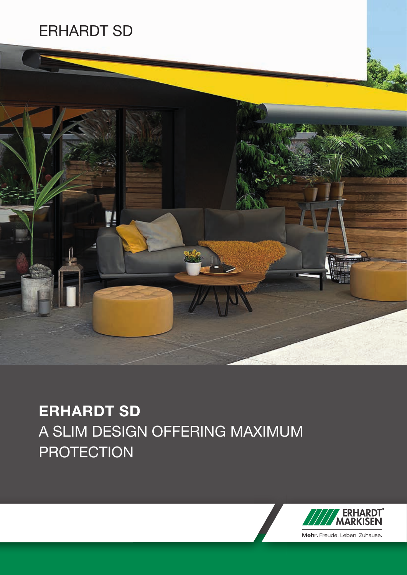

# ERHARDT SD A SLIM DESIGN OFFERING MAXIMUM PROTECTION

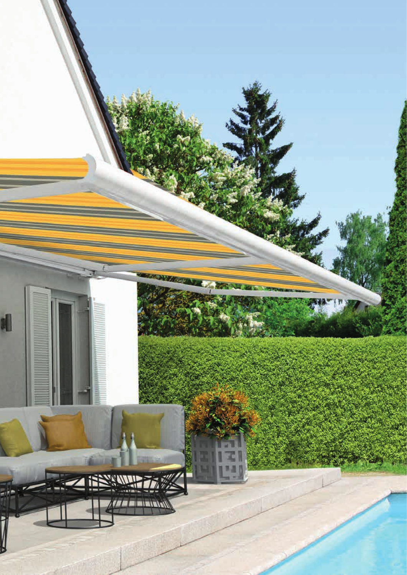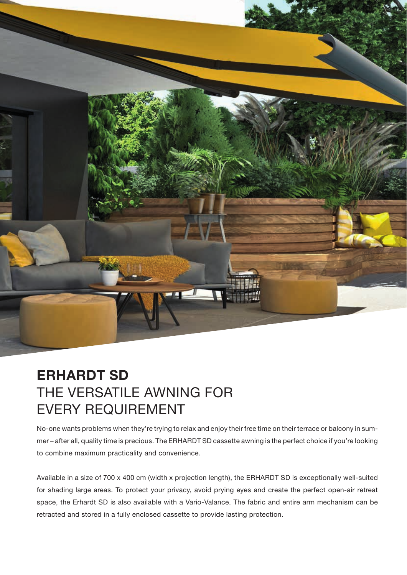

### ERHARDT SD THE VERSATILE AWNING FOR EVERY REQUIREMENT

No-one wants problems when they're trying to relax and enjoy their free time on their terrace or balcony in summer – after all, quality time is precious. The ERHARDT SD cassette awning is the perfect choice if you're looking to combine maximum practicality and convenience.

Available in a size of 700 x 400 cm (width x projection length), the ERHARDT SD is exceptionally well-suited for shading large areas. To protect your privacy, avoid prying eyes and create the perfect open-air retreat space, the Erhardt SD is also available with a Vario-Valance. The fabric and entire arm mechanism can be retracted and stored in a fully enclosed cassette to provide lasting protection.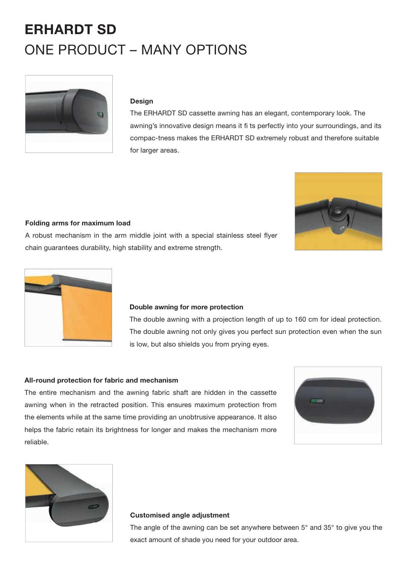## ERHARDT SD ONE PRODUCT – MANY OPTIONS



#### Design

The ERHARDT SD cassette awning has an elegant, contemporary look. The awning's innovative design means it fi ts perfectly into your surroundings, and its compac-tness makes the ERHARDT SD extremely robust and therefore suitable for larger areas.



#### Folding arms for maximum load

A robust mechanism in the arm middle joint with a special stainless steel flyer chain guarantees durability, high stability and extreme strength.



#### Double awning for more protection

The double awning with a projection length of up to 160 cm for ideal protection. The double awning not only gives you perfect sun protection even when the sun is low, but also shields you from prying eyes.

#### All-round protection for fabric and mechanism

The entire mechanism and the awning fabric shaft are hidden in the cassette awning when in the retracted position. This ensures maximum protection from the elements while at the same time providing an unobtrusive appearance. It also helps the fabric retain its brightness for longer and makes the mechanism more reliable.





#### Customised angle adjustment

The angle of the awning can be set anywhere between 5° and 35° to give you the exact amount of shade you need for your outdoor area.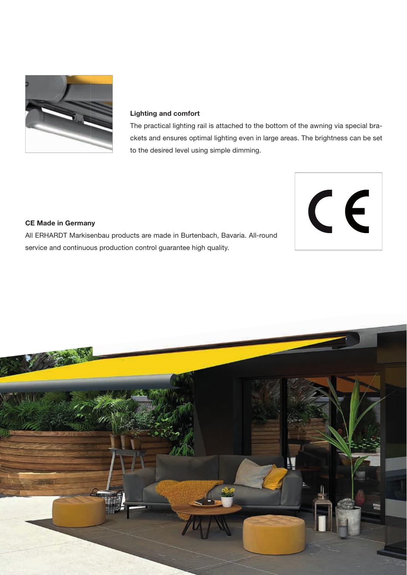

#### Lighting and comfort

The practical lighting rail is attached to the bottom of the awning via special brackets and ensures optimal lighting even in large areas. The brightness can be set to the desired level using simple dimming.



### CE Made in Germany

All ERHARDT Markisenbau products are made in Burtenbach, Bavaria. All-round service and continuous production control guarantee high quality.